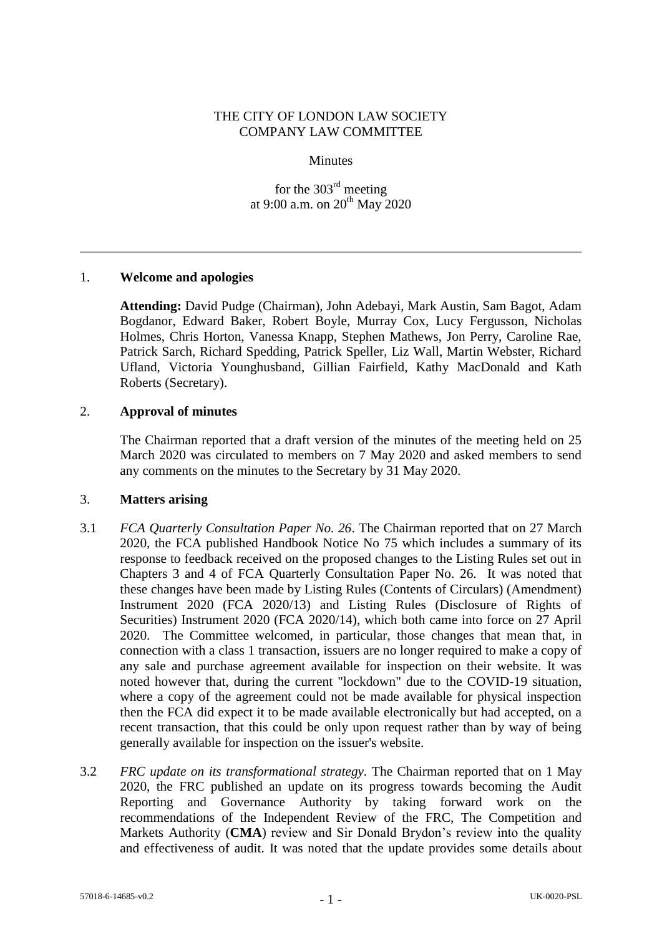## THE CITY OF LONDON LAW SOCIETY COMPANY LAW COMMITTEE

### **Minutes**

for the 303rd meeting at 9:00 a.m. on  $20^{th}$  May 2020

## 1. **Welcome and apologies**

**Attending:** David Pudge (Chairman), John Adebayi, Mark Austin, Sam Bagot, Adam Bogdanor, Edward Baker, Robert Boyle, Murray Cox, Lucy Fergusson, Nicholas Holmes, Chris Horton, Vanessa Knapp, Stephen Mathews, Jon Perry, Caroline Rae, Patrick Sarch, Richard Spedding, Patrick Speller, Liz Wall, Martin Webster, Richard Ufland, Victoria Younghusband, Gillian Fairfield, Kathy MacDonald and Kath Roberts (Secretary).

## 2. **Approval of minutes**

The Chairman reported that a draft version of the minutes of the meeting held on 25 March 2020 was circulated to members on 7 May 2020 and asked members to send any comments on the minutes to the Secretary by 31 May 2020.

## 3. **Matters arising**

- 3.1 *FCA Quarterly Consultation Paper No. 26*. The Chairman reported that on 27 March 2020, the FCA published Handbook Notice No 75 which includes a summary of its response to feedback received on the proposed changes to the Listing Rules set out in Chapters 3 and 4 of FCA Quarterly Consultation Paper No. 26. It was noted that these changes have been made by Listing Rules (Contents of Circulars) (Amendment) Instrument 2020 (FCA 2020/13) and Listing Rules (Disclosure of Rights of Securities) Instrument 2020 (FCA 2020/14), which both came into force on 27 April 2020. The Committee welcomed, in particular, those changes that mean that, in connection with a class 1 transaction, issuers are no longer required to make a copy of any sale and purchase agreement available for inspection on their website. It was noted however that, during the current "lockdown" due to the COVID-19 situation, where a copy of the agreement could not be made available for physical inspection then the FCA did expect it to be made available electronically but had accepted, on a recent transaction, that this could be only upon request rather than by way of being generally available for inspection on the issuer's website.
- 3.2 *FRC update on its transformational strategy.* The Chairman reported that on 1 May 2020, the FRC published an update on its progress towards becoming the Audit Reporting and Governance Authority by taking forward work on the recommendations of the Independent Review of the FRC, The Competition and Markets Authority (**CMA**) review and Sir Donald Brydon's review into the quality and effectiveness of audit. It was noted that the update provides some details about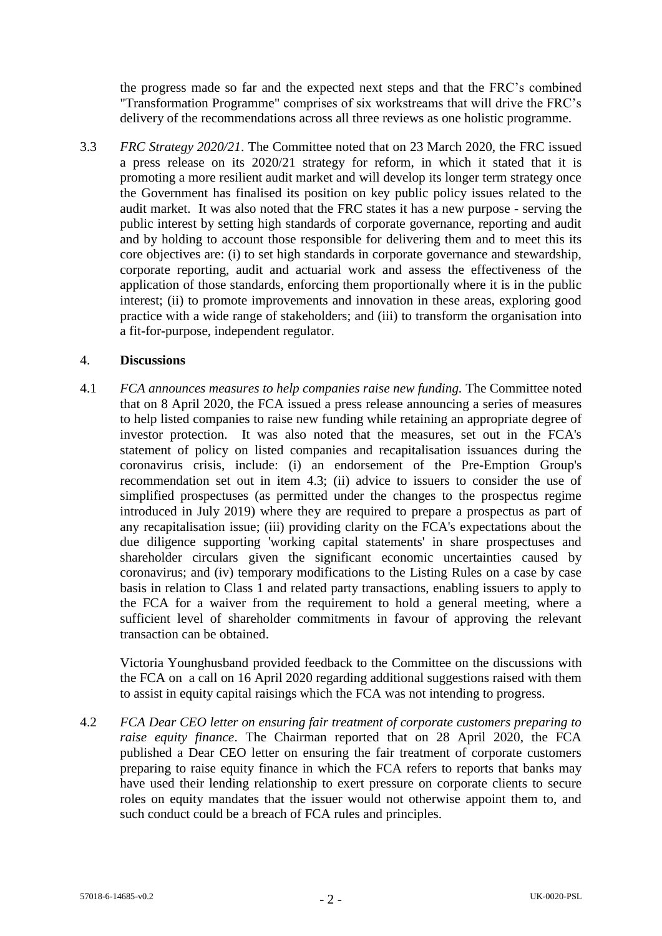the progress made so far and the expected next steps and that the FRC's combined "Transformation Programme" comprises of six workstreams that will drive the FRC's delivery of the recommendations across all three reviews as one holistic programme.

3.3 *FRC Strategy 2020/21*. The Committee noted that on 23 March 2020, the FRC issued a press release on its 2020/21 strategy for reform, in which it stated that it is promoting a more resilient audit market and will develop its longer term strategy once the Government has finalised its position on key public policy issues related to the audit market. It was also noted that the FRC states it has a new purpose - serving the public interest by setting high standards of corporate governance, reporting and audit and by holding to account those responsible for delivering them and to meet this its core objectives are: (i) to set high standards in corporate governance and stewardship, corporate reporting, audit and actuarial work and assess the effectiveness of the application of those standards, enforcing them proportionally where it is in the public interest; (ii) to promote improvements and innovation in these areas, exploring good practice with a wide range of stakeholders; and (iii) to transform the organisation into a fit-for-purpose, independent regulator.

## 4. **Discussions**

4.1 *FCA announces measures to help companies raise new funding.* The Committee noted that on 8 April 2020, the FCA issued a press release announcing a series of measures to help listed companies to raise new funding while retaining an appropriate degree of investor protection. It was also noted that the measures, set out in the FCA's statement of policy on listed companies and recapitalisation issuances during the coronavirus crisis, include: (i) an endorsement of the Pre-Emption Group's recommendation set out in item 4.3; (ii) advice to issuers to consider the use of simplified prospectuses (as permitted under the changes to the prospectus regime introduced in July 2019) where they are required to prepare a prospectus as part of any recapitalisation issue; (iii) providing clarity on the FCA's expectations about the due diligence supporting 'working capital statements' in share prospectuses and shareholder circulars given the significant economic uncertainties caused by coronavirus; and (iv) temporary modifications to the Listing Rules on a case by case basis in relation to Class 1 and related party transactions, enabling issuers to apply to the FCA for a waiver from the requirement to hold a general meeting, where a sufficient level of shareholder commitments in favour of approving the relevant transaction can be obtained.

Victoria Younghusband provided feedback to the Committee on the discussions with the FCA on a call on 16 April 2020 regarding additional suggestions raised with them to assist in equity capital raisings which the FCA was not intending to progress.

4.2 *FCA Dear CEO letter on ensuring fair treatment of corporate customers preparing to raise equity finance*. The Chairman reported that on 28 April 2020, the FCA published a Dear CEO letter on ensuring the fair treatment of corporate customers preparing to raise equity finance in which the FCA refers to reports that banks may have used their lending relationship to exert pressure on corporate clients to secure roles on equity mandates that the issuer would not otherwise appoint them to, and such conduct could be a breach of FCA rules and principles.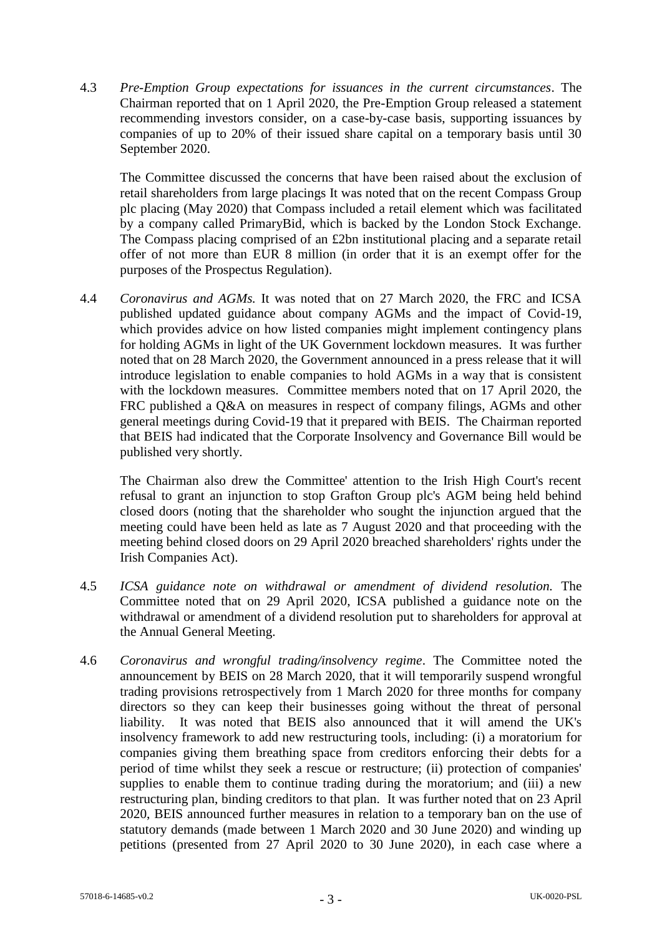4.3 *Pre-Emption Group expectations for issuances in the current circumstances*. The Chairman reported that on 1 April 2020, the Pre-Emption Group released a statement recommending investors consider, on a case-by-case basis, supporting issuances by companies of up to 20% of their issued share capital on a temporary basis until 30 September 2020.

The Committee discussed the concerns that have been raised about the exclusion of retail shareholders from large placings It was noted that on the recent Compass Group plc placing (May 2020) that Compass included a retail element which was facilitated by a company called PrimaryBid, which is backed by the London Stock Exchange. The Compass placing comprised of an £2bn institutional placing and a separate retail offer of not more than EUR 8 million (in order that it is an exempt offer for the purposes of the Prospectus Regulation).

4.4 *Coronavirus and AGMs.* It was noted that on 27 March 2020, the FRC and ICSA published updated guidance about company AGMs and the impact of Covid-19, which provides advice on how listed companies might implement contingency plans for holding AGMs in light of the UK Government lockdown measures. It was further noted that on 28 March 2020, the Government announced in a press release that it will introduce legislation to enable companies to hold AGMs in a way that is consistent with the lockdown measures. Committee members noted that on 17 April 2020, the FRC published a Q&A on measures in respect of company filings, AGMs and other general meetings during Covid-19 that it prepared with BEIS. The Chairman reported that BEIS had indicated that the Corporate Insolvency and Governance Bill would be published very shortly.

The Chairman also drew the Committee' attention to the Irish High Court's recent refusal to grant an injunction to stop Grafton Group plc's AGM being held behind closed doors (noting that the shareholder who sought the injunction argued that the meeting could have been held as late as 7 August 2020 and that proceeding with the meeting behind closed doors on 29 April 2020 breached shareholders' rights under the Irish Companies Act).

- 4.5 *ICSA guidance note on withdrawal or amendment of dividend resolution.* The Committee noted that on 29 April 2020, ICSA published a guidance note on the withdrawal or amendment of a dividend resolution put to shareholders for approval at the Annual General Meeting.
- 4.6 *Coronavirus and wrongful trading/insolvency regime*. The Committee noted the announcement by BEIS on 28 March 2020, that it will temporarily suspend wrongful trading provisions retrospectively from 1 March 2020 for three months for company directors so they can keep their businesses going without the threat of personal liability. It was noted that BEIS also announced that it will amend the UK's insolvency framework to add new restructuring tools, including: (i) a moratorium for companies giving them breathing space from creditors enforcing their debts for a period of time whilst they seek a rescue or restructure; (ii) protection of companies' supplies to enable them to continue trading during the moratorium; and (iii) a new restructuring plan, binding creditors to that plan. It was further noted that on 23 April 2020, BEIS announced further measures in relation to a temporary ban on the use of statutory demands (made between 1 March 2020 and 30 June 2020) and winding up petitions (presented from 27 April 2020 to 30 June 2020), in each case where a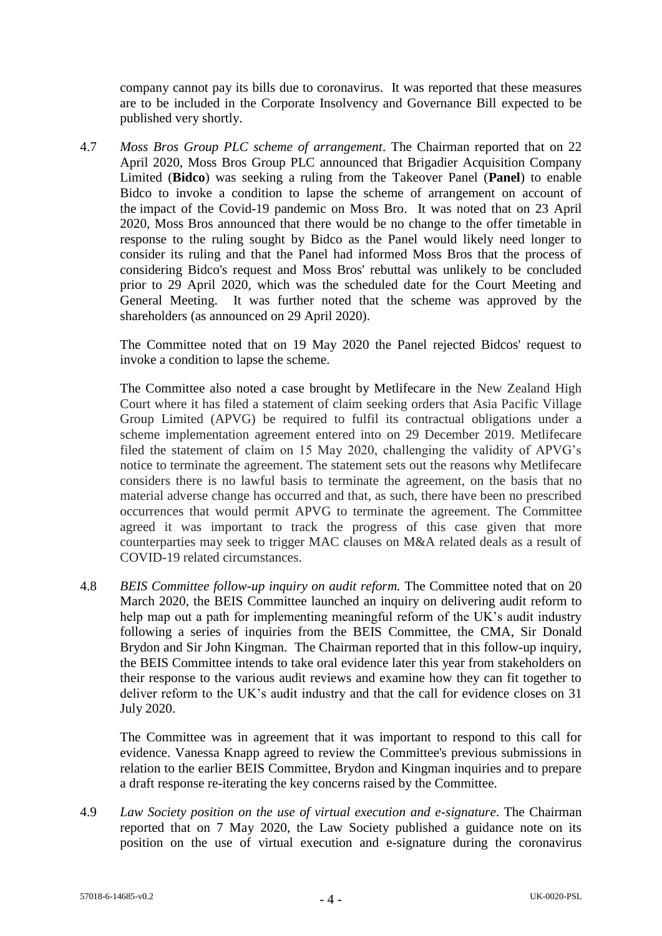company cannot pay its bills due to coronavirus. It was reported that these measures are to be included in the Corporate Insolvency and Governance Bill expected to be published very shortly.

4.7 *Moss Bros Group PLC scheme of arrangement*. The Chairman reported that on 22 April 2020, Moss Bros Group PLC announced that Brigadier Acquisition Company Limited (**Bidco**) was seeking a ruling from the Takeover Panel (**Panel**) to enable Bidco to invoke a condition to lapse the scheme of arrangement on account of the impact of the Covid-19 pandemic on Moss Bro. It was noted that on 23 April 2020, Moss Bros announced that there would be no change to the offer timetable in response to the ruling sought by Bidco as the Panel would likely need longer to consider its ruling and that the Panel had informed Moss Bros that the process of considering Bidco's request and Moss Bros' rebuttal was unlikely to be concluded prior to 29 April 2020, which was the scheduled date for the Court Meeting and General Meeting. It was further noted that the scheme was approved by the shareholders (as announced on 29 April 2020).

The Committee noted that on 19 May 2020 the Panel rejected Bidcos' request to invoke a condition to lapse the scheme.

The Committee also noted a case brought by Metlifecare in the New Zealand High Court where it has filed a statement of claim seeking orders that Asia Pacific Village Group Limited (APVG) be required to fulfil its contractual obligations under a scheme implementation agreement entered into on 29 December 2019. Metlifecare filed the statement of claim on 15 May 2020, challenging the validity of APVG's notice to terminate the agreement. The statement sets out the reasons why Metlifecare considers there is no lawful basis to terminate the agreement, on the basis that no material adverse change has occurred and that, as such, there have been no prescribed occurrences that would permit APVG to terminate the agreement. The Committee agreed it was important to track the progress of this case given that more counterparties may seek to trigger MAC clauses on M&A related deals as a result of COVID-19 related circumstances.

4.8 *BEIS Committee follow-up inquiry on audit reform.* The Committee noted that on 20 March 2020, the BEIS Committee launched an inquiry on delivering audit reform to help map out a path for implementing meaningful reform of the UK's audit industry following a series of inquiries from the BEIS Committee, the CMA, Sir Donald Brydon and Sir John Kingman. The Chairman reported that in this follow-up inquiry, the BEIS Committee intends to take oral evidence later this year from stakeholders on their response to the various audit reviews and examine how they can fit together to deliver reform to the UK's audit industry and that the call for evidence closes on 31 July 2020.

The Committee was in agreement that it was important to respond to this call for evidence. Vanessa Knapp agreed to review the Committee's previous submissions in relation to the earlier BEIS Committee, Brydon and Kingman inquiries and to prepare a draft response re-iterating the key concerns raised by the Committee.

4.9 *Law Society position on the use of virtual execution and e-signature*. The Chairman reported that on 7 May 2020, the Law Society published a guidance note on its position on the use of virtual execution and e-signature during the coronavirus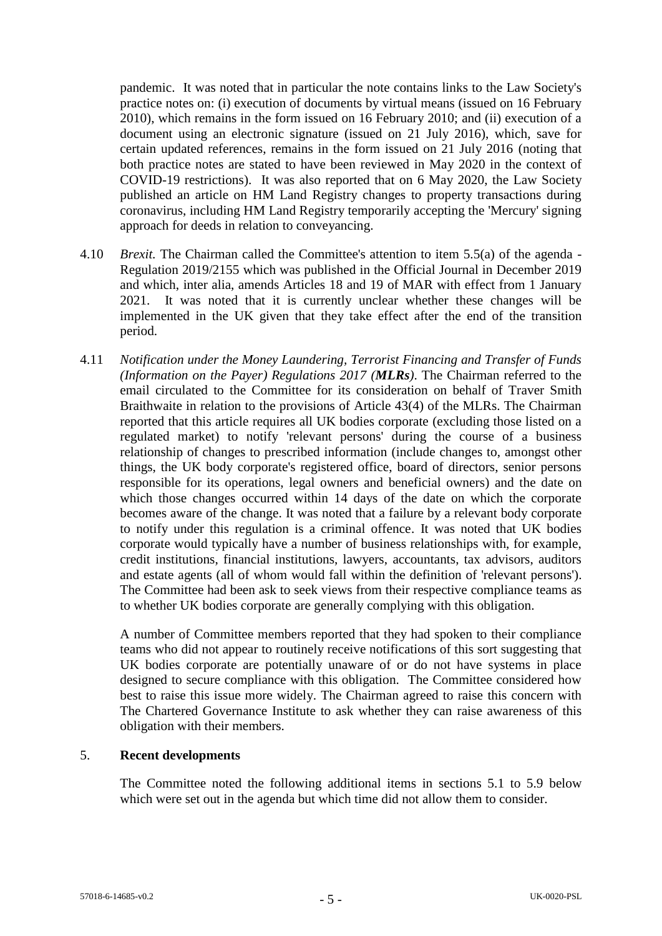pandemic. It was noted that in particular the note contains links to the Law Society's practice notes on: (i) execution of documents by virtual means (issued on 16 February 2010), which remains in the form issued on 16 February 2010; and (ii) execution of a document using an electronic signature (issued on 21 July 2016), which, save for certain updated references, remains in the form issued on 21 July 2016 (noting that both practice notes are stated to have been reviewed in May 2020 in the context of COVID-19 restrictions). It was also reported that on 6 May 2020, the Law Society published an article on HM Land Registry changes to property transactions during coronavirus, including HM Land Registry temporarily accepting the 'Mercury' signing approach for deeds in relation to conveyancing.

- <span id="page-4-0"></span>4.10 *Brexit.* The Chairman called the Committee's attention to item 5.5(a) of the agenda - Regulation 2019/2155 which was published in the Official Journal in December 2019 and which, inter alia, amends Articles 18 and 19 of MAR with effect from 1 January 2021. It was noted that it is currently unclear whether these changes will be implemented in the UK given that they take effect after the end of the transition period.
- 4.11 *Notification under the Money Laundering, Terrorist Financing and Transfer of Funds (Information on the Payer) Regulations 2017 (MLRs)*. The Chairman referred to the email circulated to the Committee for its consideration on behalf of Traver Smith Braithwaite in relation to the provisions of Article 43(4) of the MLRs. The Chairman reported that this article requires all UK bodies corporate (excluding those listed on a regulated market) to notify 'relevant persons' during the course of a business relationship of changes to prescribed information (include changes to, amongst other things, the UK body corporate's registered office, board of directors, senior persons responsible for its operations, legal owners and beneficial owners) and the date on which those changes occurred within 14 days of the date on which the corporate becomes aware of the change. It was noted that a failure by a relevant body corporate to notify under this regulation is a criminal offence. It was noted that UK bodies corporate would typically have a number of business relationships with, for example, credit institutions, financial institutions, lawyers, accountants, tax advisors, auditors and estate agents (all of whom would fall within the definition of 'relevant persons'). The Committee had been ask to seek views from their respective compliance teams as to whether UK bodies corporate are generally complying with this obligation.

A number of Committee members reported that they had spoken to their compliance teams who did not appear to routinely receive notifications of this sort suggesting that UK bodies corporate are potentially unaware of or do not have systems in place designed to secure compliance with this obligation. The Committee considered how best to raise this issue more widely. The Chairman agreed to raise this concern with The Chartered Governance Institute to ask whether they can raise awareness of this obligation with their members.

## 5. **Recent developments**

The Committee noted the following additional items in sections 5.1 to 5.9 below which were set out in the agenda but which time did not allow them to consider.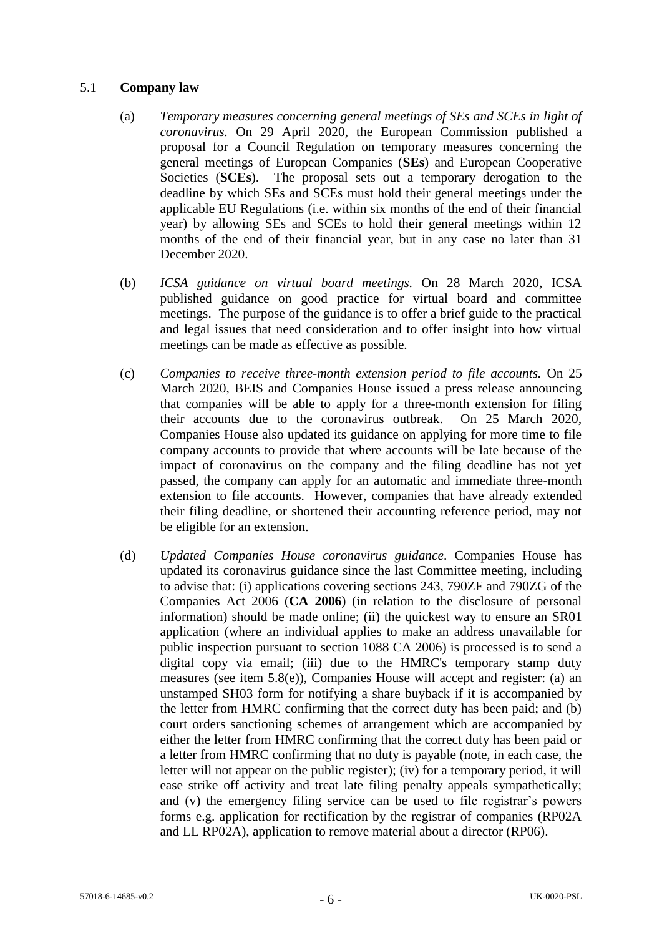## 5.1 **Company law**

- (a) *Temporary measures concerning general meetings of SEs and SCEs in light of coronavirus.* On 29 April 2020, the European Commission published a proposal for a Council Regulation on temporary measures concerning the general meetings of European Companies (**SEs**) and European Cooperative Societies (**SCEs**). The proposal sets out a temporary derogation to the deadline by which SEs and SCEs must hold their general meetings under the applicable EU Regulations (i.e. within six months of the end of their financial year) by allowing SEs and SCEs to hold their general meetings within 12 months of the end of their financial year, but in any case no later than 31 December 2020.
- (b) *ICSA guidance on virtual board meetings.* On 28 March 2020, ICSA published guidance on good practice for virtual board and committee meetings. The purpose of the guidance is to offer a brief guide to the practical and legal issues that need consideration and to offer insight into how virtual meetings can be made as effective as possible.
- (c) *Companies to receive three-month extension period to file accounts.* On 25 March 2020, BEIS and Companies House issued a press release announcing that companies will be able to apply for a three-month extension for filing their accounts due to the coronavirus outbreak. On 25 March 2020, Companies House also updated its guidance on applying for more time to file company accounts to provide that where accounts will be late because of the impact of coronavirus on the company and the filing deadline has not yet passed, the company can apply for an automatic and immediate three-month extension to file accounts. However, companies that have already extended their filing deadline, or shortened their accounting reference period, may not be eligible for an extension.
- (d) *Updated Companies House coronavirus guidance*. Companies House has updated its coronavirus guidance since the last Committee meeting, including to advise that: (i) applications covering sections 243, 790ZF and 790ZG of the Companies Act 2006 (**CA 2006**) (in relation to the disclosure of personal information) should be made online; (ii) the quickest way to ensure an SR01 application (where an individual applies to make an address unavailable for public inspection pursuant to section 1088 CA 2006) is processed is to send a digital copy via email; (iii) due to the HMRC's temporary stamp duty measures (see item 5.8(e)), Companies House will accept and register: (a) an unstamped SH03 form for notifying a share buyback if it is accompanied by the letter from HMRC confirming that the correct duty has been paid; and (b) court orders sanctioning schemes of arrangement which are accompanied by either the letter from HMRC confirming that the correct duty has been paid or a letter from HMRC confirming that no duty is payable (note, in each case, the letter will not appear on the public register); (iv) for a temporary period, it will ease strike off activity and treat late filing penalty appeals sympathetically; and (v) the emergency filing service can be used to file registrar's powers forms e.g. application for rectification by the registrar of companies (RP02A and LL RP02A), application to remove material about a director (RP06).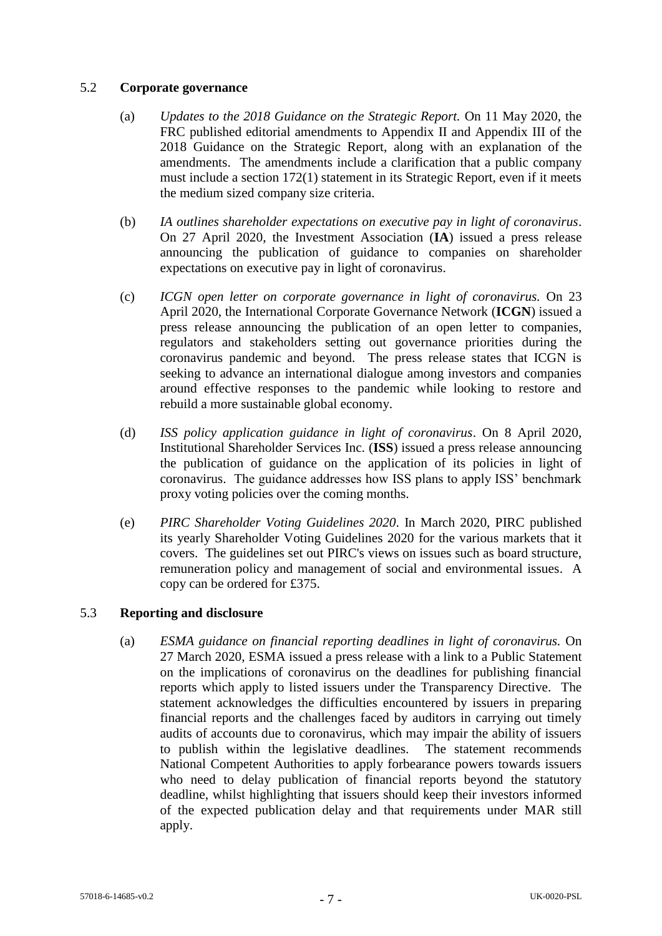## 5.2 **Corporate governance**

- (a) *Updates to the 2018 Guidance on the Strategic Report.* On 11 May 2020, the FRC published editorial amendments to Appendix II and Appendix III of the 2018 Guidance on the Strategic Report, along with an explanation of the amendments. The amendments include a clarification that a public company must include a section 172(1) statement in its Strategic Report, even if it meets the medium sized company size criteria.
- (b) *IA outlines shareholder expectations on executive pay in light of coronavirus*. On 27 April 2020, the Investment Association (**IA**) issued a press release announcing the publication of guidance to companies on shareholder expectations on executive pay in light of coronavirus.
- (c) *ICGN open letter on corporate governance in light of coronavirus.* On 23 April 2020, the International Corporate Governance Network (**ICGN**) issued a press release announcing the publication of an open letter to companies, regulators and stakeholders setting out governance priorities during the coronavirus pandemic and beyond. The press release states that ICGN is seeking to advance an international dialogue among investors and companies around effective responses to the pandemic while looking to restore and rebuild a more sustainable global economy.
- (d) *ISS policy application guidance in light of coronavirus*. On 8 April 2020, Institutional Shareholder Services Inc. (**ISS**) issued a press release announcing the publication of guidance on the application of its policies in light of coronavirus. The guidance addresses how ISS plans to apply ISS' benchmark proxy voting policies over the coming months.
- (e) *PIRC Shareholder Voting Guidelines 2020*. In March 2020, PIRC published its yearly Shareholder Voting Guidelines 2020 for the various markets that it covers. The guidelines set out PIRC's views on issues such as board structure, remuneration policy and management of social and environmental issues. A copy can be ordered for £375.

# 5.3 **Reporting and disclosure**

(a) *ESMA guidance on financial reporting deadlines in light of coronavirus.* On 27 March 2020, ESMA issued a press release with a link to a Public Statement on the implications of coronavirus on the deadlines for publishing financial reports which apply to listed issuers under the Transparency Directive. The statement acknowledges the difficulties encountered by issuers in preparing financial reports and the challenges faced by auditors in carrying out timely audits of accounts due to coronavirus, which may impair the ability of issuers to publish within the legislative deadlines. The statement recommends National Competent Authorities to apply forbearance powers towards issuers who need to delay publication of financial reports beyond the statutory deadline, whilst highlighting that issuers should keep their investors informed of the expected publication delay and that requirements under MAR still apply.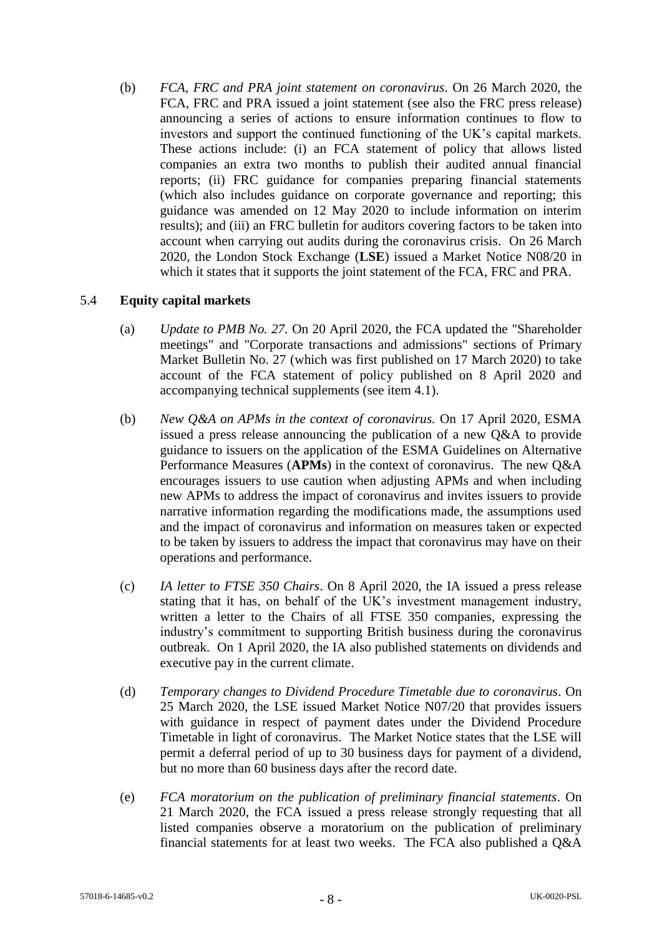(b) *FCA, FRC and PRA joint statement on coronavirus*. On 26 March 2020, the FCA, FRC and PRA issued a joint statement (see also the FRC press release) announcing a series of actions to ensure information continues to flow to investors and support the continued functioning of the UK's capital markets. These actions include: (i) an FCA statement of policy that allows listed companies an extra two months to publish their audited annual financial reports; (ii) FRC guidance for companies preparing financial statements (which also includes guidance on corporate governance and reporting; this guidance was amended on 12 May 2020 to include information on interim results); and (iii) an FRC bulletin for auditors covering factors to be taken into account when carrying out audits during the coronavirus crisis. On 26 March 2020, the London Stock Exchange (**LSE**) issued a Market Notice N08/20 in which it states that it supports the joint statement of the FCA, FRC and PRA.

# 5.4 **Equity capital markets**

- (a) *Update to PMB No. 27.* On 20 April 2020, the FCA updated the "Shareholder meetings" and "Corporate transactions and admissions" sections of Primary Market Bulletin No. 27 (which was first published on 17 March 2020) to take account of the FCA statement of policy published on 8 April 2020 and accompanying technical supplements (see item 4.1).
- (b) *New Q&A on APMs in the context of coronavirus.* On 17 April 2020, ESMA issued a press release announcing the publication of a new Q&A to provide guidance to issuers on the application of the ESMA Guidelines on Alternative Performance Measures (**APMs**) in the context of coronavirus. The new Q&A encourages issuers to use caution when adjusting APMs and when including new APMs to address the impact of coronavirus and invites issuers to provide narrative information regarding the modifications made, the assumptions used and the impact of coronavirus and information on measures taken or expected to be taken by issuers to address the impact that coronavirus may have on their operations and performance.
- (c) *IA letter to FTSE 350 Chairs*. On 8 April 2020, the IA issued a press release stating that it has, on behalf of the UK's investment management industry, written a letter to the Chairs of all FTSE 350 companies, expressing the industry's commitment to supporting British business during the coronavirus outbreak. On 1 April 2020, the IA also published statements on dividends and executive pay in the current climate.
- (d) *Temporary changes to Dividend Procedure Timetable due to coronavirus*. On 25 March 2020, the LSE issued Market Notice N07/20 that provides issuers with guidance in respect of payment dates under the Dividend Procedure Timetable in light of coronavirus. The Market Notice states that the LSE will permit a deferral period of up to 30 business days for payment of a dividend, but no more than 60 business days after the record date.
- (e) *FCA moratorium on the publication of preliminary financial statements*. On 21 March 2020, the FCA issued a press release strongly requesting that all listed companies observe a moratorium on the publication of preliminary financial statements for at least two weeks. The FCA also published a Q&A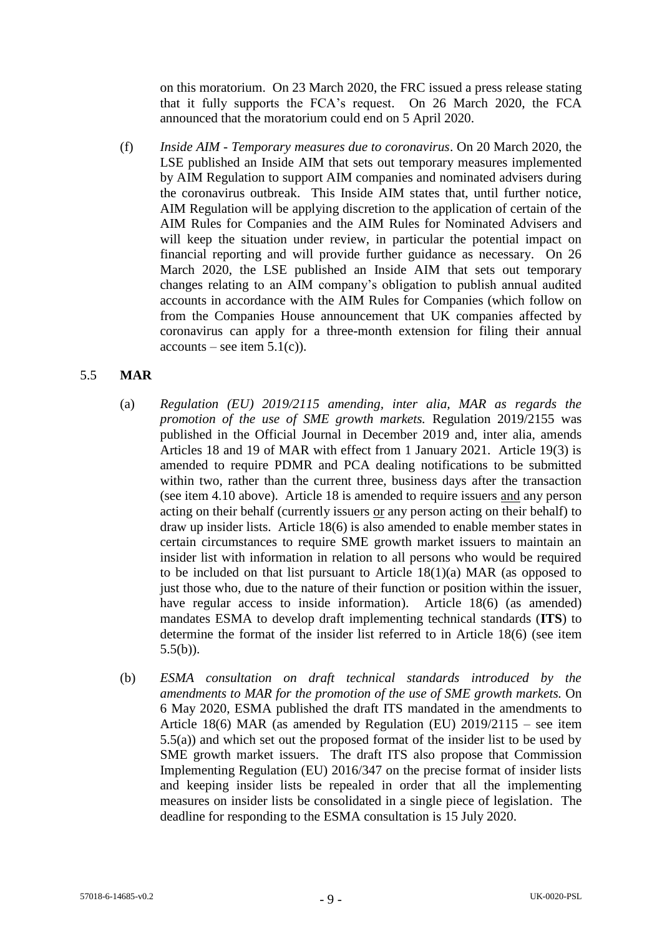on this moratorium. On 23 March 2020, the FRC issued a press release stating that it fully supports the FCA's request. On 26 March 2020, the FCA announced that the moratorium could end on 5 April 2020.

(f) *Inside AIM - Temporary measures due to coronavirus*. On 20 March 2020, the LSE published an Inside AIM that sets out temporary measures implemented by AIM Regulation to support AIM companies and nominated advisers during the coronavirus outbreak. This Inside AIM states that, until further notice, AIM Regulation will be applying discretion to the application of certain of the AIM Rules for Companies and the AIM Rules for Nominated Advisers and will keep the situation under review, in particular the potential impact on financial reporting and will provide further guidance as necessary. On 26 March 2020, the LSE published an Inside AIM that sets out temporary changes relating to an AIM company's obligation to publish annual audited accounts in accordance with the AIM Rules for Companies (which follow on from the Companies House announcement that UK companies affected by coronavirus can apply for a three-month extension for filing their annual  $accounts - see item 5.1(c)$ .

# 5.5 **MAR**

- (a) *Regulation (EU) 2019/2115 amending, inter alia, MAR as regards the promotion of the use of SME growth markets.* Regulation 2019/2155 was published in the Official Journal in December 2019 and, inter alia, amends Articles 18 and 19 of MAR with effect from 1 January 2021. Article 19(3) is amended to require PDMR and PCA dealing notifications to be submitted within two, rather than the current three, business days after the transaction (see item [4.10](#page-4-0) above). Article 18 is amended to require issuers and any person acting on their behalf (currently issuers or any person acting on their behalf) to draw up insider lists. Article 18(6) is also amended to enable member states in certain circumstances to require SME growth market issuers to maintain an insider list with information in relation to all persons who would be required to be included on that list pursuant to Article 18(1)(a) MAR (as opposed to just those who, due to the nature of their function or position within the issuer, have regular access to inside information). Article 18(6) (as amended) mandates ESMA to develop draft implementing technical standards (**ITS**) to determine the format of the insider list referred to in Article 18(6) (see item  $5.5(b)$ ).
- (b) *ESMA consultation on draft technical standards introduced by the amendments to MAR for the promotion of the use of SME growth markets.* On 6 May 2020, ESMA published the draft ITS mandated in the amendments to Article 18(6) MAR (as amended by Regulation (EU) 2019/2115 – see item 5.5(a)) and which set out the proposed format of the insider list to be used by SME growth market issuers. The draft ITS also propose that Commission Implementing Regulation (EU) 2016/347 on the precise format of insider lists and keeping insider lists be repealed in order that all the implementing measures on insider lists be consolidated in a single piece of legislation. The deadline for responding to the ESMA consultation is 15 July 2020.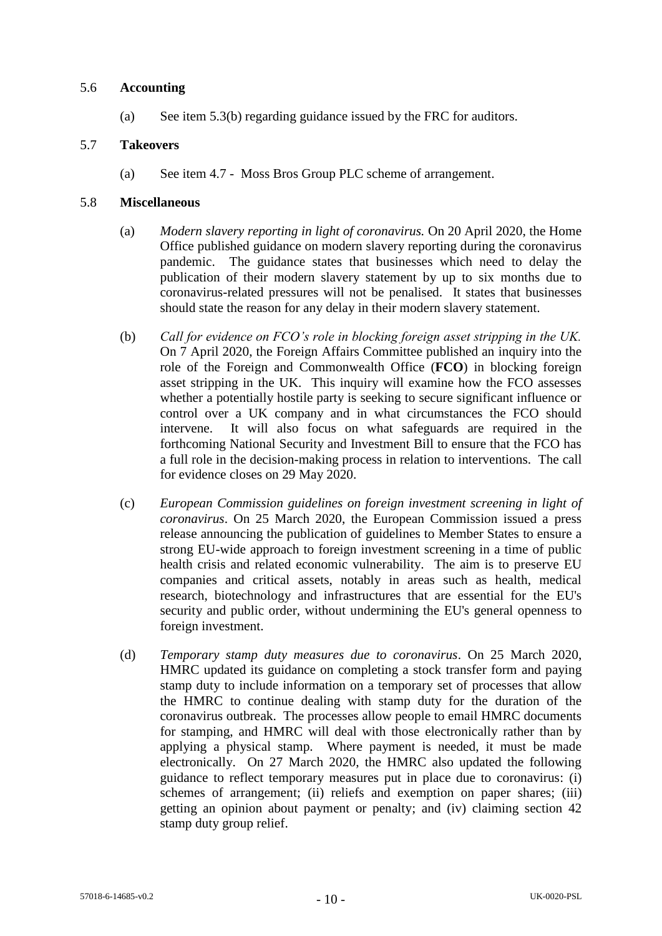### 5.6 **Accounting**

(a) See item 5.3(b) regarding guidance issued by the FRC for auditors.

### 5.7 **Takeovers**

(a) See item 4.7 - Moss Bros Group PLC scheme of arrangement.

### 5.8 **Miscellaneous**

- (a) *Modern slavery reporting in light of coronavirus.* On 20 April 2020, the Home Office published guidance on modern slavery reporting during the coronavirus pandemic. The guidance states that businesses which need to delay the publication of their modern slavery statement by up to six months due to coronavirus-related pressures will not be penalised. It states that businesses should state the reason for any delay in their modern slavery statement.
- (b) *Call for evidence on FCO's role in blocking foreign asset stripping in the UK.*  On 7 April 2020, the Foreign Affairs Committee published an inquiry into the role of the Foreign and Commonwealth Office (**FCO**) in blocking foreign asset stripping in the UK. This inquiry will examine how the FCO assesses whether a potentially hostile party is seeking to secure significant influence or control over a UK company and in what circumstances the FCO should intervene. It will also focus on what safeguards are required in the forthcoming National Security and Investment Bill to ensure that the FCO has a full role in the decision-making process in relation to interventions. The call for evidence closes on 29 May 2020.
- (c) *European Commission guidelines on foreign investment screening in light of coronavirus*. On 25 March 2020, the European Commission issued a press release announcing the publication of guidelines to Member States to ensure a strong EU-wide approach to foreign investment screening in a time of public health crisis and related economic vulnerability. The aim is to preserve EU companies and critical assets, notably in areas such as health, medical research, biotechnology and infrastructures that are essential for the EU's security and public order, without undermining the EU's general openness to foreign investment.
- (d) *Temporary stamp duty measures due to coronavirus*. On 25 March 2020, HMRC updated its guidance on completing a stock transfer form and paying stamp duty to include information on a temporary set of processes that allow the HMRC to continue dealing with stamp duty for the duration of the coronavirus outbreak. The processes allow people to email HMRC documents for stamping, and HMRC will deal with those electronically rather than by applying a physical stamp. Where payment is needed, it must be made electronically. On 27 March 2020, the HMRC also updated the following guidance to reflect temporary measures put in place due to coronavirus: (i) schemes of arrangement; (ii) reliefs and exemption on paper shares; (iii) getting an opinion about payment or penalty; and (iv) claiming section 42 stamp duty group relief.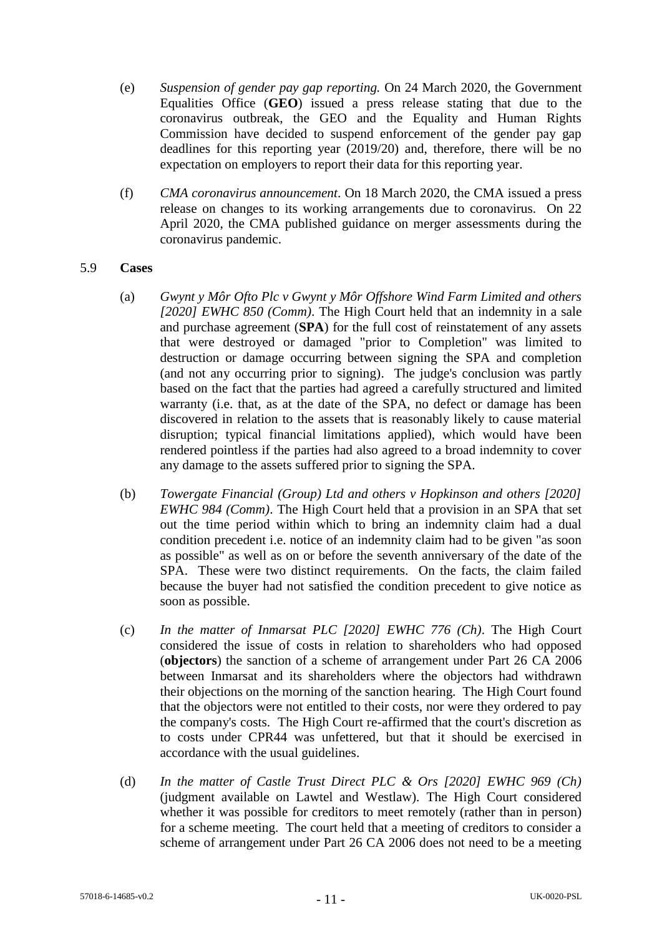- (e) *Suspension of gender pay gap reporting.* On 24 March 2020, the Government Equalities Office (**GEO**) issued a press release stating that due to the coronavirus outbreak, the GEO and the Equality and Human Rights Commission have decided to suspend enforcement of the gender pay gap deadlines for this reporting year (2019/20) and, therefore, there will be no expectation on employers to report their data for this reporting year.
- (f) *CMA coronavirus announcement*. On 18 March 2020, the CMA issued a press release on changes to its working arrangements due to coronavirus. On 22 April 2020, the CMA published guidance on merger assessments during the coronavirus pandemic.

### 5.9 **Cases**

- (a) *Gwynt y Môr Ofto Plc v Gwynt y Môr Offshore Wind Farm Limited and others [2020] EWHC 850 (Comm)*. The High Court held that an indemnity in a sale and purchase agreement (**SPA**) for the full cost of reinstatement of any assets that were destroyed or damaged "prior to Completion" was limited to destruction or damage occurring between signing the SPA and completion (and not any occurring prior to signing). The judge's conclusion was partly based on the fact that the parties had agreed a carefully structured and limited warranty (i.e. that, as at the date of the SPA, no defect or damage has been discovered in relation to the assets that is reasonably likely to cause material disruption; typical financial limitations applied), which would have been rendered pointless if the parties had also agreed to a broad indemnity to cover any damage to the assets suffered prior to signing the SPA.
- (b) *Towergate Financial (Group) Ltd and others v Hopkinson and others [2020] EWHC 984 (Comm)*. The High Court held that a provision in an SPA that set out the time period within which to bring an indemnity claim had a dual condition precedent i.e. notice of an indemnity claim had to be given "as soon as possible" as well as on or before the seventh anniversary of the date of the SPA. These were two distinct requirements. On the facts, the claim failed because the buyer had not satisfied the condition precedent to give notice as soon as possible.
- (c) *In the matter of Inmarsat PLC [2020] EWHC 776 (Ch)*. The High Court considered the issue of costs in relation to shareholders who had opposed (**objectors**) the sanction of a scheme of arrangement under Part 26 CA 2006 between Inmarsat and its shareholders where the objectors had withdrawn their objections on the morning of the sanction hearing. The High Court found that the objectors were not entitled to their costs, nor were they ordered to pay the company's costs. The High Court re-affirmed that the court's discretion as to costs under CPR44 was unfettered, but that it should be exercised in accordance with the usual guidelines.
- (d) *In the matter of Castle Trust Direct PLC & Ors [2020] EWHC 969 (Ch)* (judgment available on Lawtel and Westlaw)*.* The High Court considered whether it was possible for creditors to meet remotely (rather than in person) for a scheme meeting. The court held that a meeting of creditors to consider a scheme of arrangement under Part 26 CA 2006 does not need to be a meeting